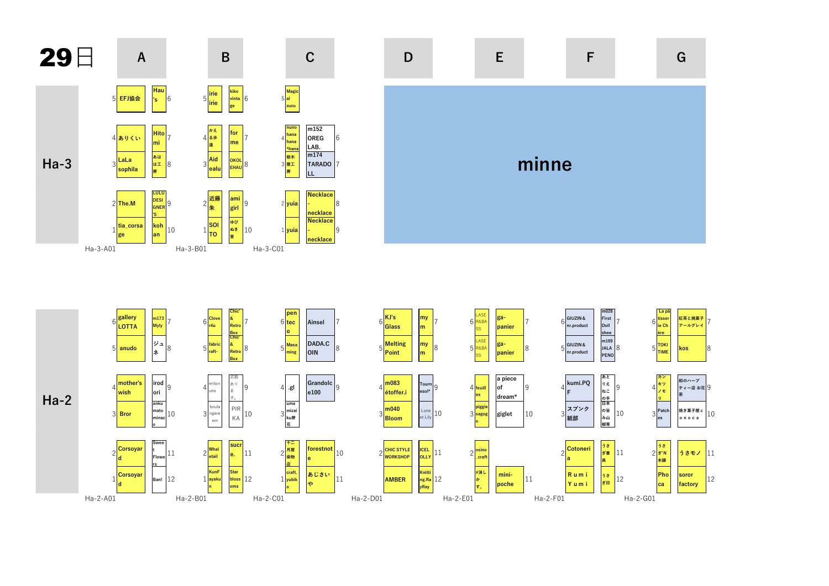

Ha-2-D01

Ha-2-A01

Ha-2-B01

Ha-2-C01





Ha-2-F01

Ha-2-E01